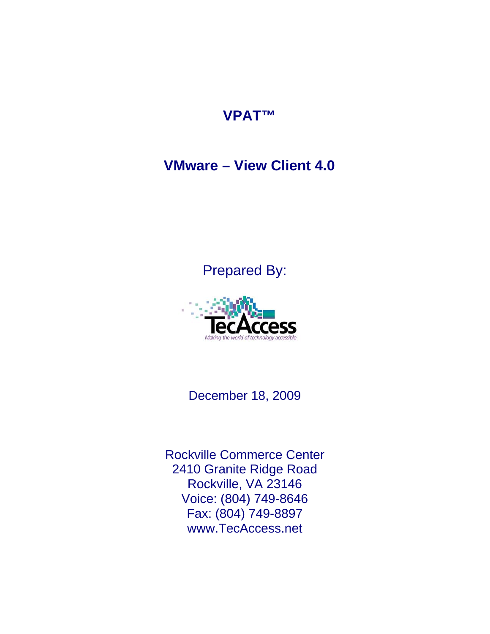## **VPAT™**

## **VMware – View Client 4.0**

## Prepared By:



December 18, 2009

Rockville Commerce Center 2410 Granite Ridge Road Rockville, VA 23146 Voice: (804) 749-8646 Fax: (804) 749-8897 www.TecAccess.net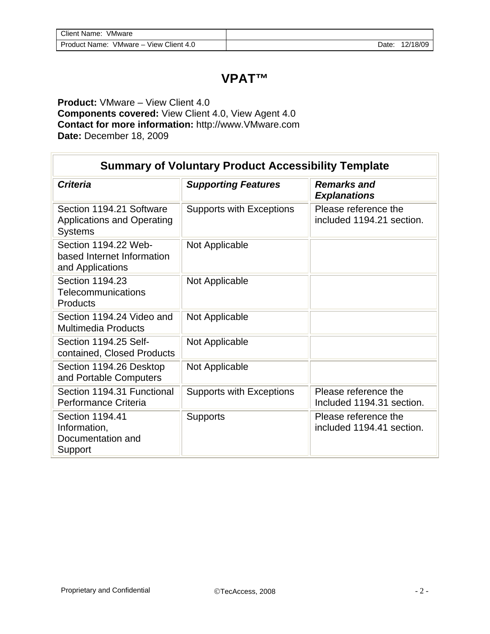## **VPAT™**

**Product:** VMware – View Client 4.0 **Components covered:** View Client 4.0, View Agent 4.0 **Contact for more information:** http://www.VMware.com **Date:** December 18, 2009

| <b>Summary of Voluntary Product Accessibility Template</b>                      |                                 |                                                   |
|---------------------------------------------------------------------------------|---------------------------------|---------------------------------------------------|
| <b>Criteria</b>                                                                 | <b>Supporting Features</b>      | <b>Remarks and</b><br><b>Explanations</b>         |
| Section 1194.21 Software<br><b>Applications and Operating</b><br><b>Systems</b> | <b>Supports with Exceptions</b> | Please reference the<br>included 1194.21 section. |
| Section 1194.22 Web-<br>based Internet Information<br>and Applications          | Not Applicable                  |                                                   |
| Section 1194.23<br>Telecommunications<br>Products                               | Not Applicable                  |                                                   |
| Section 1194.24 Video and<br><b>Multimedia Products</b>                         | Not Applicable                  |                                                   |
| Section 1194.25 Self-<br>contained, Closed Products                             | Not Applicable                  |                                                   |
| Section 1194.26 Desktop<br>and Portable Computers                               | Not Applicable                  |                                                   |
| Section 1194.31 Functional<br>Performance Criteria                              | <b>Supports with Exceptions</b> | Please reference the<br>Included 1194.31 section. |
| Section 1194.41<br>Information,<br>Documentation and<br>Support                 | <b>Supports</b>                 | Please reference the<br>included 1194.41 section. |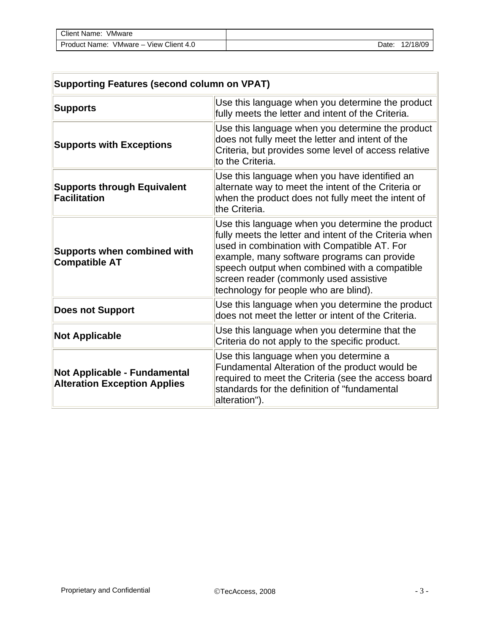| Client Name:<br>VMware                    |       |          |
|-------------------------------------------|-------|----------|
| VMware - View Client 4.0<br>Product Name: | Date: | 12/18/09 |

| <b>Supporting Features (second column on VPAT)</b>                         |                                                                                                                                                                                                                                                                                                                                              |  |
|----------------------------------------------------------------------------|----------------------------------------------------------------------------------------------------------------------------------------------------------------------------------------------------------------------------------------------------------------------------------------------------------------------------------------------|--|
| <b>Supports</b>                                                            | Use this language when you determine the product<br>fully meets the letter and intent of the Criteria.                                                                                                                                                                                                                                       |  |
| <b>Supports with Exceptions</b>                                            | Use this language when you determine the product<br>does not fully meet the letter and intent of the<br>Criteria, but provides some level of access relative<br>to the Criteria.                                                                                                                                                             |  |
| <b>Supports through Equivalent</b><br><b>Facilitation</b>                  | Use this language when you have identified an<br>alternate way to meet the intent of the Criteria or<br>when the product does not fully meet the intent of<br>the Criteria.                                                                                                                                                                  |  |
| <b>Supports when combined with</b><br><b>Compatible AT</b>                 | Use this language when you determine the product<br>fully meets the letter and intent of the Criteria when<br>used in combination with Compatible AT. For<br>example, many software programs can provide<br>speech output when combined with a compatible<br>screen reader (commonly used assistive<br>technology for people who are blind). |  |
| <b>Does not Support</b>                                                    | Use this language when you determine the product<br>does not meet the letter or intent of the Criteria.                                                                                                                                                                                                                                      |  |
| <b>Not Applicable</b>                                                      | Use this language when you determine that the<br>Criteria do not apply to the specific product.                                                                                                                                                                                                                                              |  |
| <b>Not Applicable - Fundamental</b><br><b>Alteration Exception Applies</b> | Use this language when you determine a<br>Fundamental Alteration of the product would be<br>required to meet the Criteria (see the access board<br>standards for the definition of "fundamental<br>alteration").                                                                                                                             |  |

 $\overline{\phantom{a}}$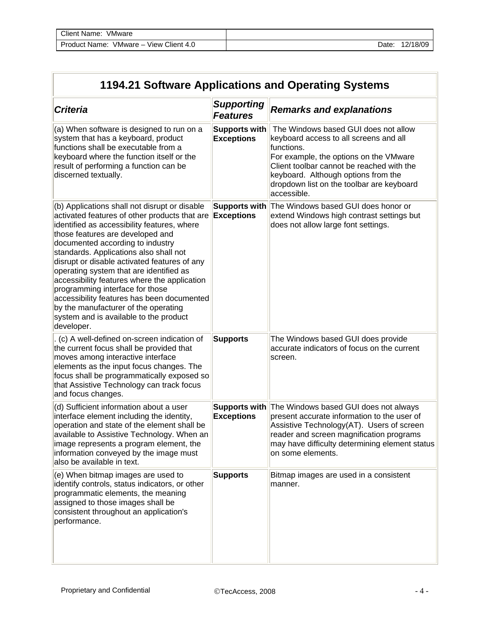Īr

L.

| 1194.21 Software Applications and Operating Systems                                                                                                                                                                                                                                                                                                                                                                                                                                                                                                                                                    |                                           |                                                                                                                                                                                                                                                                                        |
|--------------------------------------------------------------------------------------------------------------------------------------------------------------------------------------------------------------------------------------------------------------------------------------------------------------------------------------------------------------------------------------------------------------------------------------------------------------------------------------------------------------------------------------------------------------------------------------------------------|-------------------------------------------|----------------------------------------------------------------------------------------------------------------------------------------------------------------------------------------------------------------------------------------------------------------------------------------|
| <b>Criteria</b>                                                                                                                                                                                                                                                                                                                                                                                                                                                                                                                                                                                        | <b>Supporting</b><br><b>Features</b>      | <b>Remarks and explanations</b>                                                                                                                                                                                                                                                        |
| (a) When software is designed to run on a<br>system that has a keyboard, product<br>functions shall be executable from a<br>keyboard where the function itself or the<br>result of performing a function can be<br>discerned textually.                                                                                                                                                                                                                                                                                                                                                                | <b>Supports with</b><br><b>Exceptions</b> | The Windows based GUI does not allow<br>keyboard access to all screens and all<br>functions.<br>For example, the options on the VMware<br>Client toolbar cannot be reached with the<br>keyboard. Although options from the<br>dropdown list on the toolbar are keyboard<br>accessible. |
| (b) Applications shall not disrupt or disable<br>activated features of other products that are Exceptions<br>identified as accessibility features, where<br>those features are developed and<br>documented according to industry<br>standards. Applications also shall not<br>disrupt or disable activated features of any<br>operating system that are identified as<br>accessibility features where the application<br>programming interface for those<br>accessibility features has been documented<br>by the manufacturer of the operating<br>system and is available to the product<br>developer. |                                           | Supports with The Windows based GUI does honor or<br>extend Windows high contrast settings but<br>does not allow large font settings.                                                                                                                                                  |
| . (c) A well-defined on-screen indication of<br>the current focus shall be provided that<br>moves among interactive interface<br>elements as the input focus changes. The<br>focus shall be programmatically exposed so<br>that Assistive Technology can track focus<br>and focus changes.                                                                                                                                                                                                                                                                                                             | <b>Supports</b>                           | The Windows based GUI does provide<br>accurate indicators of focus on the current<br>screen.                                                                                                                                                                                           |
| (d) Sufficient information about a user<br>interface element including the identity,<br>operation and state of the element shall be<br>available to Assistive Technology. When an<br>image represents a program element, the<br>information conveyed by the image must<br>also be available in text.                                                                                                                                                                                                                                                                                                   | <b>Exceptions</b>                         | <b>Supports with</b> The Windows based GUI does not always<br>present accurate information to the user of<br>Assistive Technology(AT). Users of screen<br>reader and screen magnification programs<br>may have difficulty determining element status<br>on some elements.              |
| (e) When bitmap images are used to<br>identify controls, status indicators, or other<br>programmatic elements, the meaning<br>assigned to those images shall be<br>consistent throughout an application's<br>performance.                                                                                                                                                                                                                                                                                                                                                                              | <b>Supports</b>                           | Bitmap images are used in a consistent<br>manner.                                                                                                                                                                                                                                      |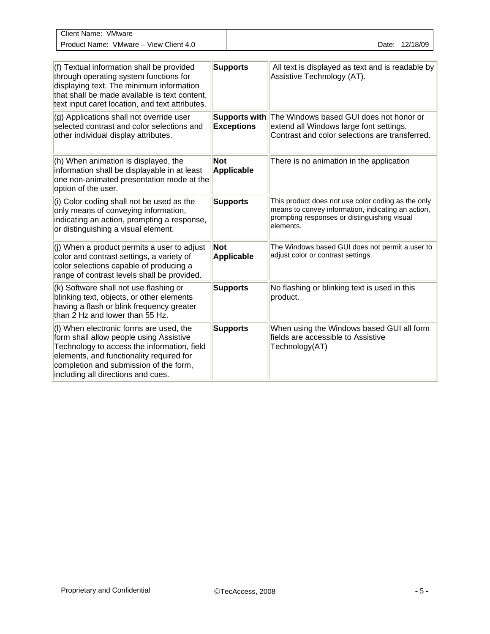| <b>Client Name:</b><br>VMware                  |       |          |
|------------------------------------------------|-------|----------|
| View Client 4.0<br>$VMware -$<br>Product Name: | Date: | 12/18/09 |

| (f) Textual information shall be provided<br>through operating system functions for<br>displaying text. The minimum information<br>that shall be made available is text content,<br>text input caret location, and text attributes.                           | <b>Supports</b>                    | All text is displayed as text and is readable by<br>Assistive Technology (AT).                                                                                        |
|---------------------------------------------------------------------------------------------------------------------------------------------------------------------------------------------------------------------------------------------------------------|------------------------------------|-----------------------------------------------------------------------------------------------------------------------------------------------------------------------|
| (g) Applications shall not override user<br>selected contrast and color selections and<br>other individual display attributes.                                                                                                                                | Supports with<br><b>Exceptions</b> | The Windows based GUI does not honor or<br>extend all Windows large font settings.<br>Contrast and color selections are transferred.                                  |
| (h) When animation is displayed, the<br>information shall be displayable in at least<br>one non-animated presentation mode at the<br>option of the user.                                                                                                      | <b>Not</b><br><b>Applicable</b>    | There is no animation in the application                                                                                                                              |
| (i) Color coding shall not be used as the<br>only means of conveying information,<br>indicating an action, prompting a response,<br>or distinguishing a visual element.                                                                                       | <b>Supports</b>                    | This product does not use color coding as the only<br>means to convey information, indicating an action,<br>prompting responses or distinguishing visual<br>elements. |
| (j) When a product permits a user to adjust<br>color and contrast settings, a variety of<br>color selections capable of producing a<br>range of contrast levels shall be provided.                                                                            | <b>Not</b><br>Applicable           | The Windows based GUI does not permit a user to<br>adjust color or contrast settings.                                                                                 |
| (k) Software shall not use flashing or<br>blinking text, objects, or other elements<br>having a flash or blink frequency greater<br>than 2 Hz and lower than 55 Hz.                                                                                           | <b>Supports</b>                    | No flashing or blinking text is used in this<br>product.                                                                                                              |
| (I) When electronic forms are used, the<br>form shall allow people using Assistive<br>Technology to access the information, field<br>elements, and functionality required for<br>completion and submission of the form,<br>including all directions and cues. | <b>Supports</b>                    | When using the Windows based GUI all form<br>fields are accessible to Assistive<br>Technology(AT)                                                                     |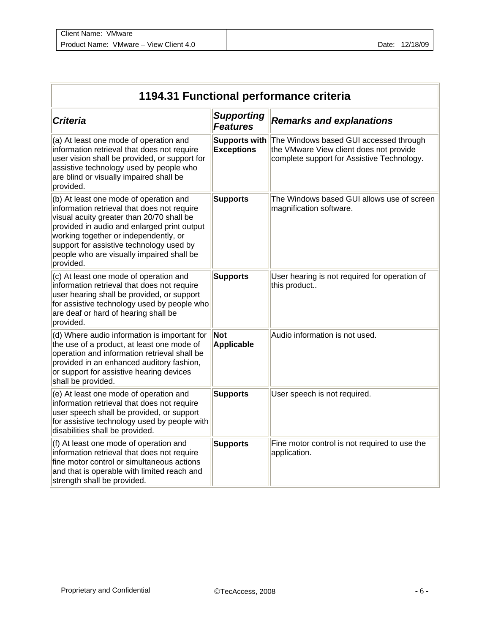| 1194.31 Functional performance criteria                                                                                                                                                                                                                                                                                          |                                           |                                                                                                                                 |
|----------------------------------------------------------------------------------------------------------------------------------------------------------------------------------------------------------------------------------------------------------------------------------------------------------------------------------|-------------------------------------------|---------------------------------------------------------------------------------------------------------------------------------|
| <b>Criteria</b>                                                                                                                                                                                                                                                                                                                  | <b>Supporting</b><br><b>Features</b>      | <b>Remarks and explanations</b>                                                                                                 |
| (a) At least one mode of operation and<br>information retrieval that does not require<br>user vision shall be provided, or support for<br>assistive technology used by people who<br>are blind or visually impaired shall be<br>provided.                                                                                        | <b>Supports with</b><br><b>Exceptions</b> | The Windows based GUI accessed through<br>the VMware View client does not provide<br>complete support for Assistive Technology. |
| (b) At least one mode of operation and<br>information retrieval that does not require<br>visual acuity greater than 20/70 shall be<br>provided in audio and enlarged print output<br>working together or independently, or<br>support for assistive technology used by<br>people who are visually impaired shall be<br>provided. | <b>Supports</b>                           | The Windows based GUI allows use of screen<br>magnification software.                                                           |
| (c) At least one mode of operation and<br>information retrieval that does not require<br>user hearing shall be provided, or support<br>for assistive technology used by people who<br>are deaf or hard of hearing shall be<br>provided.                                                                                          | <b>Supports</b>                           | User hearing is not required for operation of<br>this product                                                                   |
| (d) Where audio information is important for<br>the use of a product, at least one mode of<br>operation and information retrieval shall be<br>provided in an enhanced auditory fashion,<br>or support for assistive hearing devices<br>shall be provided.                                                                        | <b>Not</b><br><b>Applicable</b>           | Audio information is not used.                                                                                                  |
| (e) At least one mode of operation and<br>information retrieval that does not require<br>user speech shall be provided, or support<br>for assistive technology used by people with<br>disabilities shall be provided.                                                                                                            | <b>Supports</b>                           | User speech is not required.                                                                                                    |
| (f) At least one mode of operation and<br>information retrieval that does not require<br>fine motor control or simultaneous actions<br>and that is operable with limited reach and<br>strength shall be provided.                                                                                                                | <b>Supports</b>                           | Fine motor control is not required to use the<br>application.                                                                   |

Īī